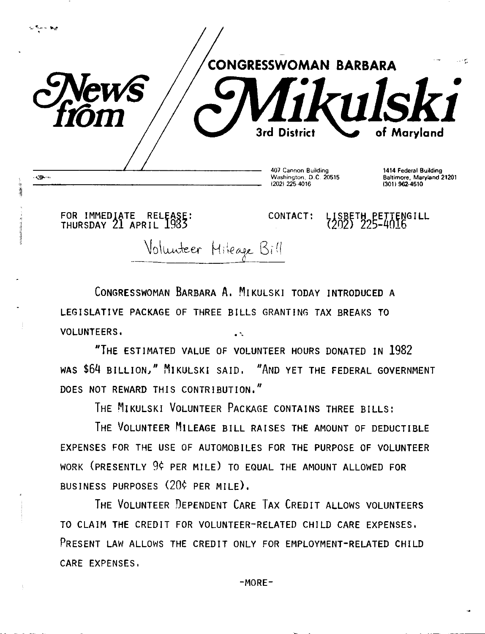

FOR IMMEDIATE RELfASE: THURSDAY 21 APRIL 1983

į

12021 225-4016

CONTACT: LISBETH PETTENGILL<br>(202) 225-4016

(301) 962-4510

Volunteer Hileage Bill

CONGRESSWOMAN BARBARA A, MIKULSKI TODAY INTRODUCED A LEGISLATIVE PACKAGE OF THREE BILLS GRANTING TAX BREAKS TO VOLUNTEERS, . .

"THE ESTIMATED VALUE OF VOLUNTEER HOURS DONATED IN 1982 WAS \$64 BILLION," MIKULSKI SAID, "AND YET THE FEDERAL GOVERNMENT DOES NOT REWARD THIS CONTRIBUTION,"

THE MIKULSKI VOLUNTEER PACKAGE CONTAINS THREE BILLS:

THE VOLUNTEER MILEAGE BILL RAISES THE AMOUNT OF DEDUCTIBLE EXPENSES FOR THE USE OF AUTOMOBILES FOR THE PURPOSE OF VOLUNTEER WORK (PRESENTLY 9¢ PER MILE) TO EQUAL THE AMOUNT ALLOWED FOR BUSINESS PURPOSES (20¢ PER MILE),

THE VOLUNTEER DEPENDENT CARE TAX CREDIT ALLOWS VOLUNTEERS TO CLAIM THE CREDIT FOR VOLUNTEER-RELATED CHILD CARE EXPENSES, PRESENT LAW ALLOWS THE CREDIT ONLY FOR EMPLOYMENT-RELATED CHILD CARE EXPENSES,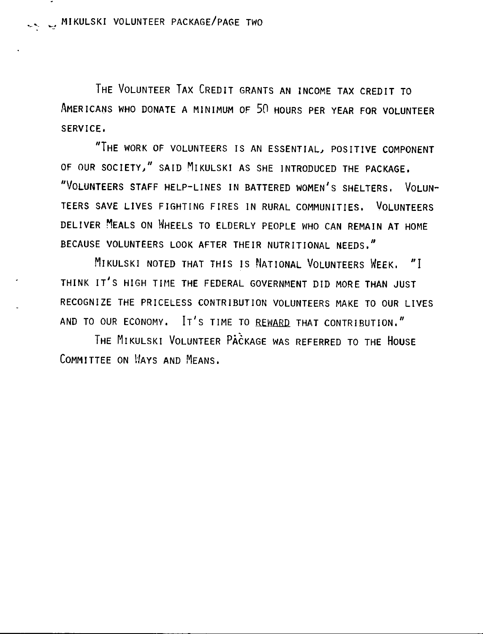THE VOLUNTEER TAX CREDIT GRANTS AN INCOME TAX CREDIT TO AMERICANS WHO DONATE A MINIMUM OF 50 HOURS PER YEAR FOR VOLUNTEER SERVICE,

"THE WORK OF VOLUNTEERS IS AN ESSENTIAL, POSITIVE COMPONENT OF OUR SOCIETY," SAID MIKULSKI AS SHE INTRODUCED THE PACKAGE. "VOLUNTEERS STAFF HELP-LINES IN BATTERED WOMEN'S SHELTERS. VOLUN-TEERS SAVE LIVES FIGHTING FIRES IN RURAL COMMUNITIES, VOLUNTEERS DELIVER MEALS ON HHEELS TO ELDERLY PEOPLE WHO CAN REMAIN AT HOME BECAUSE VOLUNTEERS LOOK AFTER THEIR NUTRITIONAL NEEDS,"

MIKULSKI NOTED THAT THIS IS NATIONAL VOLUNTEERS WEEK, "J THINK IT'S HIGH TIME THE FEDERAL GOVERNMENT DID MORE THAN JUST RECOGNIZE THE PRICELESS CONTRIBUTION VOLUNTEERS MAKE TO OUR LIVES AND TO OUR ECONOMY, Ir's TIME TO REWARD THAT CONTRIBUTION,"

THE MIKULSKI VOLUNTEER PACKAGE WAS REFERRED TO THE HOUSE COMMITTEE ON *HAYS* AND MEANS.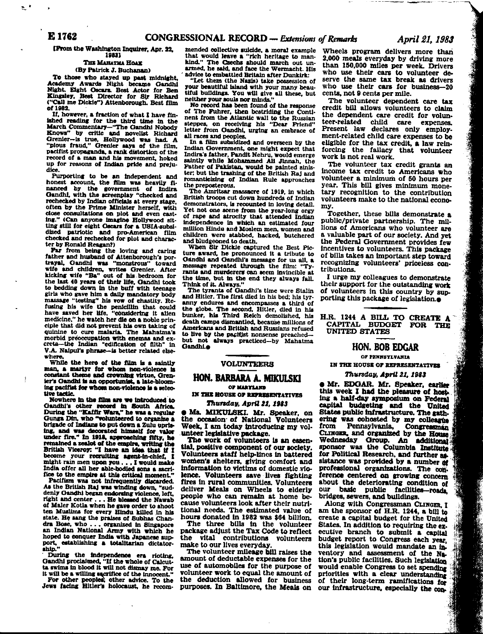IFrom the Washington Inquirer, Apr. 22. 19831

# THE MAHATMA HOAX (By Patrick J. Buchanan)

To those who stayed up past midnight, Academy Awards Night became Gandhi Night. Eight Oscars. Best Actor for Ben<br>Kingsley, Best Director for Sir Richard<br>"Call me Dickle") Attenborough. Best film of 1982.

If, however, a fraction of what I have finished reading for the third time in the March Commentary-"The Gandhi Nobody Knows" by critic and novelist Richard Grenier-is true, Hollywood was had. A "plous fraud," Grenier says of the film, pacifist propaganda, a rank distortion of the record of a man and his movement, hoked up for reasons of Indian pride and prejudice.

Durporting to be an independent and<br>honest account, the film was heavily fi-<br>nanced by the government of Indira Gandhi, with the screenplay "checked and rechecked by Indian officials at every stage. often by the Prime Minister herself, with close consultations on plot and even cast-<br>ing." (Can anyone imagine Hollywood sitting still for eight Oscars for a USIA-subsidized patriotic and pro-American film<br>checked and rechecked for plot and characfilm ter by Ronald Reagan?)

Far from being the loving and caring<br>father and husband of Attenborough's portrayal, Gandhi was "monstrous" toward<br>wife and children, writes Grenier. After kicking wife "Ba" out of his bedroom for the last 40 years of their life, Gandhi took to bedding down in the buff with teenage girls who gave him a daily mandatory body massage "testing" his vow of chastity. Refusing his wife the penicillin that could have saved her life, "considering it alien medicine." he watch her die on a noble principle that did not prevent his own taking of quinine to cure malaria. The Mahatma's morbid preoccupation with enemas and excreta-the Indian "edification of filth" in V.A. Naipul's phrase-is better related elsewhere

While the hero of the film is a saintly man, a martyr for whom non-violence is constant theme and crowning virtue, Grenter's Gandhi is an opportunist, a late-bloom-<br>ing pacifist for whom non-violence is a selective tactic.

Nowhere in the film are we introduced to Gandhi's other record in South Africa.<br>During the "Kaffir Wars," he was a regular Gunga Din, who "volunteered to organize a brigade of Indians to put down a Zulu uprising, and was decorated himself for valor under fire." In 1918, approaching fifty, he remained a zealot of the empire, writing the British Viceroy: "I have an idea that if I become your recruiting agent-in-chief. I might rain men upon you . . . I would make India offer all her able-bodied sons a sacrifice to the empire at this critical moment."

Pacifism was not infrequently discarded. As the British Raj was winding down, "suddenly Gandhi began endorsing violence, left, right and center . . . He hiersed the Nawah of Maler Kotla when he gave order to shoot ten Muslims for every Hindu killed in his state. He sang the praises of Subhas Chandra Bose, who . . . organized in Singapore an Indian National Army with which he hoped to conquer India with Japanese support, establishing a totalitarian dictator-

ship."<br>
During the independence era rioting,<br>
Gandhi proclaimed, "If the whole of Calcut-<br>
ta swims in blood it will not dismay me. For<br>
"

it will be a willing sacrifice of the innocent."<br>For other peoples, other advice. To the<br>Jews facing Hitler's holocaust, he recom-

mended collective suicide, a moral example that would leave a "rich heritage to mankind." The Czechs should march out unarmed, he said, and face the Wermacht. His advice to embattled Britain after Dunkirk:

"Let them (the Nazis) take possession of your beautiful island with your many beautiful buildings. You will give all these, but neither your souls nor minds."

No record has been found of the response of The Fuhrer, then bestriding the Continent from the Atlantic wall to the Russian<br>steppes, on receiving his "Dear Friend"<br>letter from Gandhi, urging an embrace of all races and peoples.

In a film subsidized and overseen by the Indian Government, one might expect that Indira's father, Pandit Nehru, would emerge saintly while Mohammed All Jinnah, the Father of Pakistan, would be painted sinister; but the trashing of the British Raj and romanticizing of Indian Rule approaches the preposterous.

The Amritsar massacre of 1919, in which British troops cut down hundreds of Indian demonstrators, is recounted in loving detail. Yet not one scene from the year-long orgy of rape and atrocity that attended Indian independence in which an estimated four million Hindu and Moslem men, women and children were stabbed, hacked, butchered and bludgeoned to death.

When Sir Dickle captured the Best Picture award, he pronounced it a tribute to Gandhi and Gandhi's message for us all. a message repeated through the film: "Tyrants and murderers can seem invincible at the time, but in the end they always fall. Think of it. Always.'

The tyrants of Gandhi's time were Stalin and Hitler. The first died in his hed: his tyranny endures and encompasses a third of the globe. The second, Hitler, died in his bunker, his Third Reich demolished, his death camps dismantled, because millions of Americans and British and Russians refused to live by the pacifist nonsense preachedbut not always practiced-by Mahatma Gandhi.e

## **VOLUNTEERS**

## **HON. BARBARA A. MIKULSKI** OF MARYLAND

IN THE HOUSE OF REPRESENTATIVES

# Thursday, April 21, 1983

**e Ms. MIKULSKI. Mr. Speaker, on** the occasion of National Volunteers Week, I am today introducing my volunteer legislative package.

The work of volunteers is an essential, positive component of our society. Volunteers ataff help-lines in battered women's shelters, giving comfort and<br>information to victims of domestic violence. Volunteers save lives fighting fires in rural communities. Volunteers<br>deliver Meals on Wheels to elderly people who can remain at home because volunteers look after their nutritional needs. The estimated value of hours donated in 1982 was \$64 billion.

The three bills in the volunteer<br>package adjust the Tax Code to reflect the vital contributions volunteers make to our lives everyday

The volunteer mileage bill raises the amount of deductable expenses for the use of automobiles for the purpose of volunteer work to equal the amount of the deduction allowed for business purposes. In Baltimore, the Meals on

Wheels program delivers more than 2.000 meals everyday by driving more than 150,000 miles per week. Drivers who use their cars to volunteer deserve the same tax break as drivers who use their cars for business-20 cents, not 9 cents per mile.

The volunteer dependent care tax credit bill allows volunteers to claim the dependent care credit for volunteer-related child care expenses. Present law declares only employment-related child care expenses to be eligible for the tax credit, a law reinforcing the fallacy that volunteer work is not real work.

The volunteer tax credit grants an income tax credit to Americans who volunteer a minimum of 50 hours per year. This bill gives minimum monetary recognition to the contribution volunteers make to the national economv.

Together, these bills demonstrate a public/private partnership. The millions of Americans who volunteer are a valuable part of our society. And yet the Federal Government provides few incentives to volunteers. This package of bills takes an important step toward recognizing volunteers' priceless contributions.

I urge my colleagues to demonstrate their support for the outstanding work of volunteers in this country by supporting this package of legislation.<sup>•</sup>

H.R. 1244 A BILL TO CREATE A CAPITAL BUDGET FOR THE **UNITED STATES** 

## **HON. BOB EDGAR**

#### OF PENNSYLVANTA

IN THE HOUSE OF REPRESENTATIVES

### Thursday, April 21, 1983

**. Mr. EDGAR. Mr. Speaker, earlier** this week I had the pleasure of hosting a half-day symposium on Federal capital budgeting and the United States public infrastructure. The gathering was cohosted by my colleague from Pennsylvania, Congressman CLINGER, and organized by the House Wednesday Group. An additional for Political Research, and further assistance was provided by a number of professional organizations. The conference centered on growing concern. about the deteriorating condition of our basic public facilities-roads, bridges, sewers, and buildings.

Along with Congressman CLINGER 1 am the sponsor of H.R. 1244, a bill to create a capital budget for the United States. In addition to requiring the executive branch to submit a capital budget report to Congress each year. this legislation would mandate an inventory and assessment of the Na. tion's public facilities. Such legislation would enable Congress to set spending priorities with a clear understanding of their long-term ramifications for our infrastructure, especially the con**Barbara**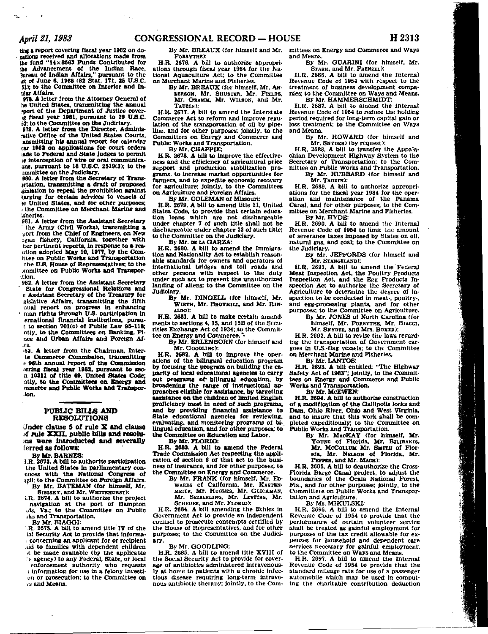ting a report covering fiscal year 1982 on donations received and allocations made from the fund "14×8563 Funds Contributed for the Advancement of the Indian Race. Jureau of Indian Affairs," pursuant to the act of June 6, 1968 (82 Stat. 171, 25 U.S.C. 51): to the Committee on Interior and Inular Affairs.

978. A letter from the Attorney General of he United States, transmitting the annual sport of the Department of Justice coverg fiscal year 1981, pursuant to 28 U.S.C. 52: to the Committee on the Judiciary.

979. A letter from the Director, Adminisrative Office of the United States Courts. ansmitting his annual report for calendar car 1982 on applications for court orders ade to Federal and State judges to permit le interception of wire or oral communicaons, pursuant to 18 U.S.C. 2519(3); to the ammittee on the Judiciary.

980. A letter from the Secretary of Transartation, transmitting a draft of proposed gislation to repeal the prohibition against harging for certain services to vessels of le United States, and for other purposes: the Committee on Merchant Marine and sheries.

981. A letter from the Assistant Secretary the Army (Civil Works), transmitting a port from the Chief of Engineers, on New ogan fishery, California, together with her pertinent reports, in response to a resation adopted May 10, 1977, by the Comittee on Public Works and Transportation the U.S. House of Representatives; to the immittee on Public Works and Transportion.

982. A letter from the Assistant Secretary State for Congressional Relations and<br>e Assistant Secretary of the Treasury for gislative Affairs, transmitting the fifth mual report on progress in enhancing man rights through U.S. participation in ernational financial institutions, pursut to section 701(c) of Public Law 95-118: ntly, to the Committees on Banking, Fince and Urban Affairs and Foreign Afirs.

83. A letter from the Chairman, Interte Commerce Commission, transmitting e 96th annual report of the Commission vering fiscal year 1982, pursuant to secn 10311 of title 49. United States Code; ntly, to the Committees on Energy and mmerce and Public Works and Transpor-.ion.

### **PUBLIC BILLS AND RESOLUTIONS**

Under clause 5 of rule X and clause of rule XXII, public bills and resoluins were introducted and severally ferred as follows:

By Mr. BARNES:

i.R. 2673. A bill to authorize participation the United States in parliamentary conences with the National Congress of azil; to the Committee on Foreign Affairs. By Mr. BATEMAN (for himself, Mr.

SISISKY, and Mr. WHITEHURST):

LR. 2674. A bill to authorize the project navigation at the port of Hampton ads, Va.; to the Committee on Public rks and Transportation.

By Mr. BLAGGI:

R. 2675. A bill to amend title IV of the ial Security Act to provide that informaconcerning an applicant for or recipient aid to families with dependent children it be made available (by the applicable 'e agency) to any Federal, State, or local

enforcement authority who requests i information for use in a felony investion or prosecution; to the Committee on **vs** and Means.

By Mr. BREAUX (for himself and Mr. FORSYTHE):

H.R. 2676. A bill to authorize appropriations through fiscal year 1984 for the National Aquaculture Act; to the Committee on Merchant Marine and Fisheries.

By Mr. BREAUX (for himself, Mr. An-DERSON, Mr. SHUSTER, Mr. FIELDS, Mr. GRAMM. Mr. WILSON, and Mr. TAUZIN):

H.R. 2677. A bill to amend the Interstate Commerce Act to reform and improve regulation of the transportation of oil by pipeline, and for other purposes; jointly, to the Committees on Energy and Commerce and Public Works and Transportation.

By Mr. CHAPPIE:

H.R. 2678. A bill to improve the effectiveness and the efficiency of agricultural price support and production stabilization programs, to increase market opportunities for farmers, and to expedite economic recovery for agriculture; jointly, to the Committees on Agriculture and Foreign Affairs.

By Mr. COLEMAN of Missouri:

H.R. 2679. A bill to amend title 11. United States Code, to provide that certain education loans which are not dischargeable under chapter 7 of such title shall not be dischargeable under chapter 13 of such title; to the Committee on the Judiciary.

By Mr. DE LA GARZA:

H.R. 2680. A bill to amend the Immigration and Nationality Act to establish reasonable standards for owners and operators of international bridges and toll roads and other persons with respect to the duty under such act to prevent the unauthorized landing of aliens; to the Committee on the

Judiciary.<br>By Mr. DINGELL (for himself, Mr. By Mr. DINGELL (for himself, Mr. WIRTH, Mr. BROYHILL, and Mr. RIN-ALDO);

H.R. 2681. A bill to make certain amendments to sections 4, 15, and 15B of the Securities Exchange Act of 1934; to the Committee on Energy and Commerce.

By Mr. ERLENBORN (for himself and Mr. GOODLING):

H.R. 2682. A bill to improve the operations of the bilingual education program by focusing the program on building the capacity of local educational agencies to carry out programs of bilingual education, by broadening the range of instructional approaches eligible for assistance, by targeting assistance on the children of limited English proficiency most in need of such programs, and by providing financial assistance to State educational agencies for reviewing. evaluating, and monitoring programs of bilingual education, and for other purposes; to the Committee on Education and Labor.

By Mr. FLORIO:

H.R. 2683. A bill to amend the Federal Trade Commission Act respecting the application of section 6 of that act to the business of insurance, and for other purposes; to the Committee on Energy and Commerce.

By Mr. FRANK (for himself, Mr. Ep-WARDS of California, Mr. KASTEN-Mr. SEIBERLING, Mr. LEVITAS, Mr. SCHEUER, and Mr. FLORIO):

H.R. 2684. A bill amending the Ethics in Government Act to provide an independent counsel to prosecute contempts certified by the House of Representatives, and for other purposes; to the Committee on the Judiciary.

By Mr. GOODLING:

H.R. 2685. A bill to amend title XVIII of the Social Security Act to provide for coverage of antibiotics administered intravenously at home to patients with a chronic infectious disease requiring long-term intravenous antibiotic therapy; jointly, to the Com-

mittees on Energy and Commerce and Ways and Means.

By Mr. GUARINI (for himself. Mr. STARK, and Mr. FRENZEL).

H.R. 2686. A bill to amend the Internal Revenue Code of 1954 with respect to the treatment of business development companies; to the Committee on Ways and Means. By Mr. HAMMERSCHMIDT:

H.R. 2687. A bill to amend the Internal Revenue Code of 1954 to reduce the holding period required for long-term capital gain or loss treatment; to the Committee on Ways and Means.

By Mr. HOWARD (for himself and Mr. SNYDER) (by request):

H.R. 2688. A bill to transfer the Appalachian Development Highway System to the Secretary of Transportation; to the Committee on Public Works and Transportation. By Mr. HUBBARD (for himself and

Mr. TAUZIN):

H.R. 2689. A bill to authorize appropriations for the fiscal year 1984 for the operation and maintenance of the Panama Canal, and for other purposes; to the Committee on Merchant Marine and Fisheries.

By Mr. HYDE:

 $H.R. 2690. A bill to amend the Internal$ Revenue Code of 1954 to limit the amount of severance taxes imposed by States on oil. natural gas, and coal; to the Committee on the Judiciary.

By Mr. JEFFORDS (for himself and Mr. STANGELAND):

H.R. 2691. A bill to amend the Federal Meat Inspection Act, the Poultry Products Inspection Act, and the Egg Products Inspection Act to authorize the Secretary of Agriculture to determine the degree of inspection to be conducted in meat-, poultry-, and egg-processing plants, and for other purposes; to the Committee on Agriculture.

By Mr. JONES of North Carolina (for himself, Mr. FORSYTHE, Mr. BIAGGI,

Mr. SNYDER, and Mrs. BOXER):

H.R. 2692. A bill to revise the laws regarding the transportation of Government cargoes in U.S.-flag vessels; to the Committee on Merchant Marine and Fisheries. By Mr. LANTOS:

H.R. 2693. A bill entitled: "The Highway Safety Act of 1983"; jointly, to the Committees on Energy and Commerce and Public Works and Transportation.

By Mr. McEWEN:

H.R. 2694. A bill to authorize construction of a modification of the Gallipolis locks and Dam, Ohio River, Ohio and West Virginia, and to insure that this work shall be completed expeditiously; to the Committee on Public Works and Transportation.

By Mr. MACKAY (for himself, Mr. Young of Florida, Mr. BILIRAKIS, Mr. McCOLLUM Mr. SMITH of Florida. Mr. NELSON of Florida. Mr. PEPPER. and Mr. MACK):

H.R. 2695. A bill to deauthorize the Cross-Florida Barge Canal project, to adjust the boundaries of the Ocala National Forest, Fla., and for other purposes; jointly, to the Committees on Public Works and Transportation and Agriculture.

By Ms. MIKULSKI:

H.R. 2696. A bill to amend the Internal Revenue Code of 1954 to provide that the performance of certain volunteer service<br>shall be treated as gainful employment for purposes of the tax credit allowable for expenses for household and dependent care services necessary for gainful employment; to the Committee on Ways and Means.

H.R. 2697. A bill to amend the Internal Revenue Code of 1954 to provide that the standard mileage rate for use of a passenger automobile which may be used in computing the charitable contribution deduction